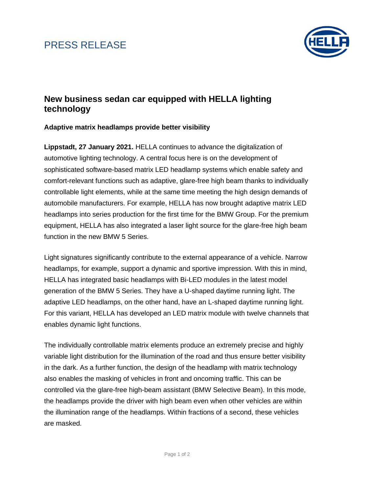## PRESS RELEASE



### **New business sedan car equipped with HELLA lighting technology**

### **Adaptive matrix headlamps provide better visibility**

**Lippstadt, 27 January 2021.** HELLA continues to advance the digitalization of automotive lighting technology. A central focus here is on the development of sophisticated software-based matrix LED headlamp systems which enable safety and comfort-relevant functions such as adaptive, glare-free high beam thanks to individually controllable light elements, while at the same time meeting the high design demands of automobile manufacturers. For example, HELLA has now brought adaptive matrix LED headlamps into series production for the first time for the BMW Group. For the premium equipment, HELLA has also integrated a laser light source for the glare-free high beam function in the new BMW 5 Series.

Light signatures significantly contribute to the external appearance of a vehicle. Narrow headlamps, for example, support a dynamic and sportive impression. With this in mind, HELLA has integrated basic headlamps with Bi-LED modules in the latest model generation of the BMW 5 Series. They have a U-shaped daytime running light. The adaptive LED headlamps, on the other hand, have an L-shaped daytime running light. For this variant, HELLA has developed an LED matrix module with twelve channels that enables dynamic light functions.

The individually controllable matrix elements produce an extremely precise and highly variable light distribution for the illumination of the road and thus ensure better visibility in the dark. As a further function, the design of the headlamp with matrix technology also enables the masking of vehicles in front and oncoming traffic. This can be controlled via the glare-free high-beam assistant (BMW Selective Beam). In this mode, the headlamps provide the driver with high beam even when other vehicles are within the illumination range of the headlamps. Within fractions of a second, these vehicles are masked.